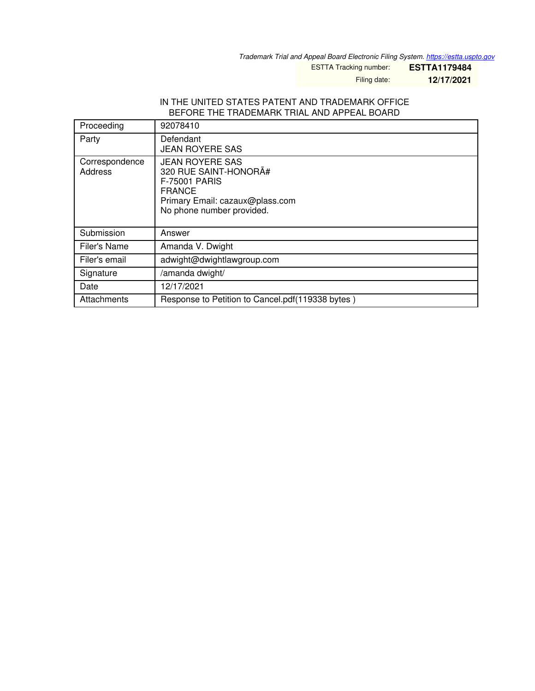*Trademark Trial and Appeal Board Electronic Filing System. <https://estta.uspto.gov>*

ESTTA Tracking number: **ESTTA1179484**

Filing date: **12/17/2021**

### IN THE UNITED STATES PATENT AND TRADEMARK OFFICE BEFORE THE TRADEMARK TRIAL AND APPEAL BOARD

| Proceeding                | 92078410                                                                                                                                                 |
|---------------------------|----------------------------------------------------------------------------------------------------------------------------------------------------------|
| Party                     | Defendant<br><b>JEAN ROYERE SAS</b>                                                                                                                      |
| Correspondence<br>Address | <b>JEAN ROYERE SAS</b><br>320 RUE SAINT-HONORÄ#<br><b>F-75001 PARIS</b><br><b>FRANCE</b><br>Primary Email: cazaux@plass.com<br>No phone number provided. |
| Submission                | Answer                                                                                                                                                   |
| Filer's Name              | Amanda V. Dwight                                                                                                                                         |
| Filer's email             | adwight@dwightlawgroup.com                                                                                                                               |
| Signature                 | /amanda dwight/                                                                                                                                          |
| Date                      | 12/17/2021                                                                                                                                               |
| Attachments               | Response to Petition to Cancel.pdf(119338 bytes)                                                                                                         |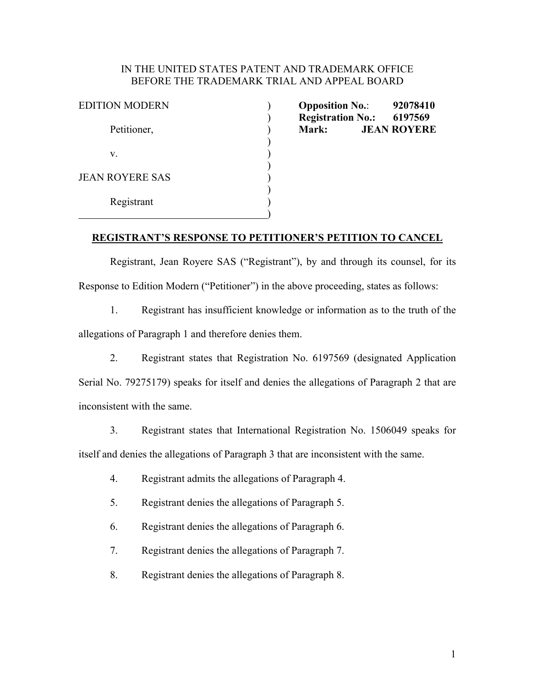## IN THE UNITED STATES PATENT AND TRADEMARK OFFICE BEFORE THE TRADEMARK TRIAL AND APPEAL BOARD

| <b>EDITION MODERN</b>  |  |
|------------------------|--|
| Petitioner,            |  |
| V.                     |  |
| <b>JEAN ROYERE SAS</b> |  |
| Registrant             |  |
|                        |  |

**Opposition No.:** 92078410 ) **Registration No.: 6197569 Mark: JEAN ROYERE** 

# **REGISTRANT'S RESPONSE TO PETITIONER'S PETITION TO CANCEL**

 Registrant, Jean Royere SAS ("Registrant"), by and through its counsel, for its Response to Edition Modern ("Petitioner") in the above proceeding, states as follows:

1. Registrant has insufficient knowledge or information as to the truth of the allegations of Paragraph 1 and therefore denies them.

2. Registrant states that Registration No. 6197569 (designated Application Serial No. 79275179) speaks for itself and denies the allegations of Paragraph 2 that are inconsistent with the same.

3. Registrant states that International Registration No. 1506049 speaks for itself and denies the allegations of Paragraph 3 that are inconsistent with the same.

- 4. Registrant admits the allegations of Paragraph 4.
- 5. Registrant denies the allegations of Paragraph 5.
- 6. Registrant denies the allegations of Paragraph 6.
- 7. Registrant denies the allegations of Paragraph 7.
- 8. Registrant denies the allegations of Paragraph 8.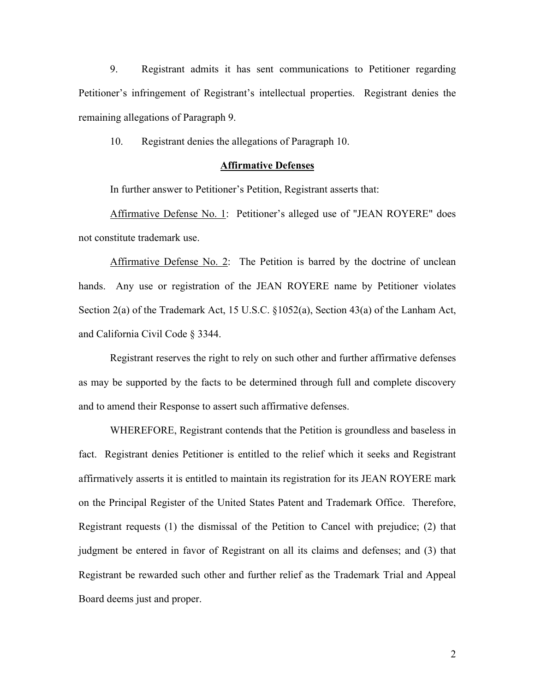9. Registrant admits it has sent communications to Petitioner regarding Petitioner's infringement of Registrant's intellectual properties. Registrant denies the remaining allegations of Paragraph 9.

10. Registrant denies the allegations of Paragraph 10.

### **Affirmative Defenses**

In further answer to Petitioner's Petition, Registrant asserts that:

Affirmative Defense No. 1: Petitioner's alleged use of "JEAN ROYERE" does not constitute trademark use.

Affirmative Defense No. 2: The Petition is barred by the doctrine of unclean hands. Any use or registration of the JEAN ROYERE name by Petitioner violates Section 2(a) of the Trademark Act, 15 U.S.C. §1052(a), Section 43(a) of the Lanham Act, and California Civil Code § 3344.

 Registrant reserves the right to rely on such other and further affirmative defenses as may be supported by the facts to be determined through full and complete discovery and to amend their Response to assert such affirmative defenses.

 WHEREFORE, Registrant contends that the Petition is groundless and baseless in fact. Registrant denies Petitioner is entitled to the relief which it seeks and Registrant affirmatively asserts it is entitled to maintain its registration for its JEAN ROYERE mark on the Principal Register of the United States Patent and Trademark Office. Therefore, Registrant requests (1) the dismissal of the Petition to Cancel with prejudice; (2) that judgment be entered in favor of Registrant on all its claims and defenses; and (3) that Registrant be rewarded such other and further relief as the Trademark Trial and Appeal Board deems just and proper.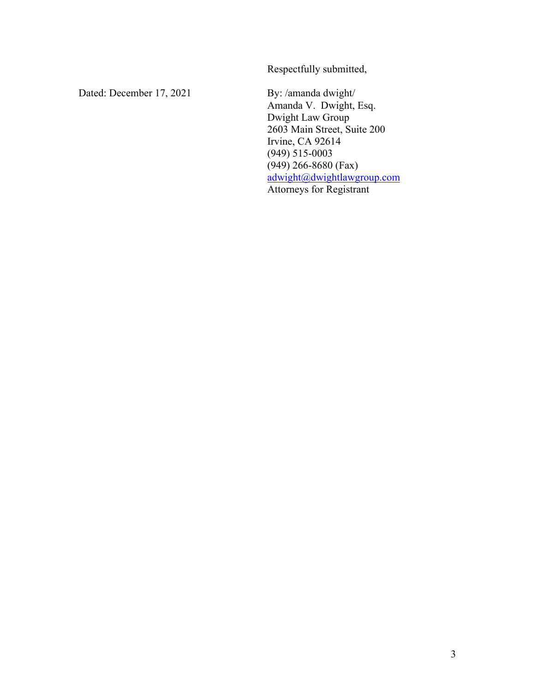Respectfully submitted,

Dated: December 17, 2021 By: /amanda dwight/

 Amanda V. Dwight, Esq. Dwight Law Group 2603 Main Street, Suite 200 Irvine, CA 92614 (949) 515-0003 (949) 266-8680 (Fax) adwight@dwightlawgroup.com Attorneys for Registrant